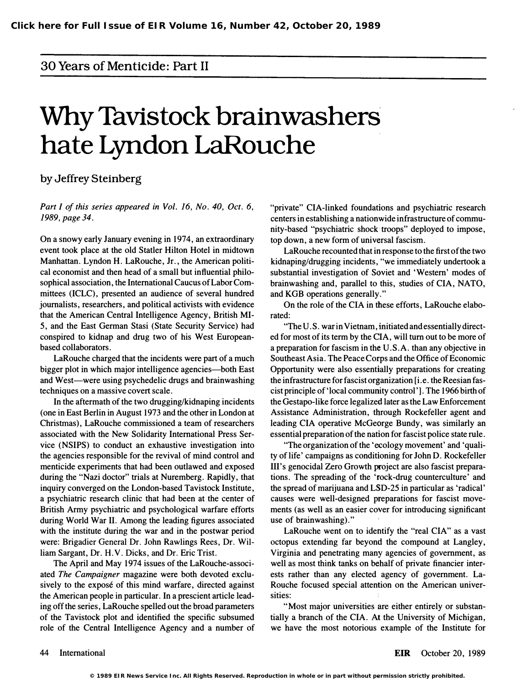### 30 Years of Menticide: Part II

# Why Tavistock brainwashers hate Lyndon LaRouche

by Jeffrey Steinberg

Part I of this series appeared in Vol. 16, No. 40, Oct. 6, 1989, page 34.

On a snowy early January evening in 1974, an extraordinary event took place at the old Statler Hilton Hotel in midtown Manhattan. Lyndon H. LaRouche, Jr., the American political economist and then head of a small but influential philosophical association, the International Caucus of Labor Committees (ICLC), presented an audience of several hundred journalists, researchers, and political activists with evidence that the American Central Intelligence Agency, British MI-5, and the East German Stasi (State Security Service) had conspired to kidnap and drug two of his West Europeanbased collaborators.

LaRouche charged that the incidents were part of a much bigger plot in which major intelligence agencies—both East and West—were using psychedelic drugs and brainwashing techniques on a massive covert scale.

In the aftermath of the two drugging/kidnaping incidents (one in East Berlin in August 1973 and the other in London at Christmas), LaRouche commissioned a team of researchers associated with the New Solidarity International Press Service (NSIPS) to conduct an exhaustive investigation into the agencies responsible for the revival of mind control and menticide experiments that had been outlawed and exposed during the "Nazi doctor" trials at Nuremberg. Rapidly, that inquiry converged on the London-based Tavistock Institute, a psychiatric research clinic that had been at the center of British Army psychiatric and psychological warfare efforts during World War II. Among the leading figures associated with the institute during the war and in the postwar period were: Brigadier General Dr. John Rawlings Rees, Dr. William Sargant, Dr. H. V. Dicks, and Dr. Eric Trist.

The April and May 1974 issues of the LaRouche-associated The Campaigner magazine were both devoted exclusively to the exposé of this mind warfare, directed against the American people in particular. In a prescient article leading off the series, LaRouche spelled out the broad parameters of the Tavistock plot and identified the specific subsumed role of the Central Intelligence Agency and a number of "private" CIA-linked foundations and psychiatric research centers in establishing a nationwide infrastructure of community-based "psychiatric shock troops" deployed to impose, top down, a new form of universal fascism.

LaRouche recounted that in response to the first of the two kidnaping/drugging incidents, "we immediately undertook a substantial investigation of Soviet and 'Western' modes of brainwashing and, parallel to this, studies of CIA, NATO, and KGB operations generally."

On the role of the CIA in these efforts, LaRouche elaborated:

"The U.S. war in Vietnam, initiated and essentially directed for most of its term by the CIA, will tum out to be more of a preparation for fascism in the U. S. A. than any objective in Southeast Asia. The Peace Corps and the Office of Economic Opportunity were also essentially preparations for creating the infrastructure for fascist organization [i.e. the Reesian fascist principle of 'local community control '] . The 1966 birth of the Gestapo-like force legalized later as the Law Enforcement Assistance Administration, through Rockefeller agent and leading CIA operative McGeorge Bundy, was similarly an essential preparation of the nation for fascist police state rule.

"The organization of the 'ecology movement' and 'quality of life' campaigns as conditioning for John D. Rockefeller III's genocidal Zero Growth project are also fascist preparations. The spreading of the 'tock-drug counterculture' and the spread of marijuana and LSD-25 in particular as 'radical' causes were well-designed preparations for fascist movements (as well as an easier cover for introducing significant use of brainwashing)."

LaRouche went on to identify the "real CIA" as a vast octopus extending far beyond the compound at Langley, Virginia and penetrating many agencies of government, as well as most think tanks on behalf of private financier interests rather than any elected agency of government. La-Rouche focused special attention on the American universities:

"Most major universities are either entirely or substantially a branch of the CIA. At the University of Michigan, we have the most notorious example of the Institute for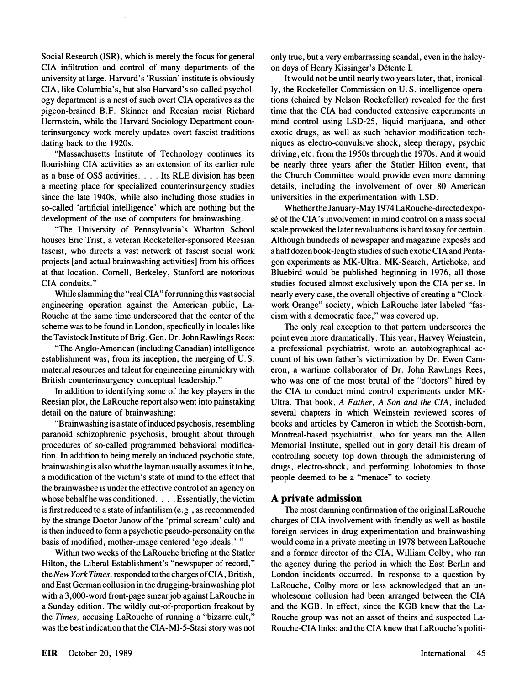Social Research (ISR), which is merely the focus for general CIA infiltration and control of many departments of the university at large. Harvard's 'Russian' institute is obviously CIA, like Columbia's, but also Harvard's so-called psychology department is a nest of such overt CIA operatives as the pigeon-brained B.F. Skinner and Reesian racist Richard Hermstein, while the Harvard Sociology Department counterinsurgency work merely updates overt fascist traditions dating back to the 1920s.

"Massachusetts Institute of Technology continues its flourishing CIA activities as an extension of its earlier role as a base of OSS activities .... Its RLE division has been a meeting place for specialized counterinsurgency studies since the late 1940s, while also including those studies in so-called 'artificial intelligence' which are nothing but the development of the use of computers for brainwashing.

"The University of Pennsylvania's Wharton School houses Eric Trist, a veteran Rockefeller-sponsored Reesian fascist, who directs a vast network of fascist social work projects [and actual brainwashing activities] from his offices at that location. Cornell, Berkeley, Stanford are notorious CIA conduits."

While slamming the "real CIA" for running this vast social engineering operation against the American public, La-Rouche at the same time underscored that the center of the scheme was to be found in London, specfically in locales like the Tavistock Institute of Brig. Gen. Dr. John Rawlings Rees:

"The Anglo-American (including Canadian) intelligence establishment was, from its inception, the merging of U.S. material resources and talent for engineering gimmickry with British counterinsurgency conceptual leadership."

In addition to identifying some of the key players in the Reesian plot, the LaRouche report also went into painstaking detail on the nature of brainwashing:

"Brainwashing is a state of induced psychosis, resembling paranoid schizophrenic psychosis, brought about through procedures of so-called programmed behavioral modification. In addition to being merely an induced psychotic state, brainwashing is also what the layman usually assumes it to be, a modification of the victim's state of mind to the effect that the brainwashee is under the effective control of an agency on whose behalf he was conditioned. . . . Essentially, the victim is first reduced to a state of infantilism (e. g. , as recommended by the strange Doctor Janow of the 'primal scream' cult) and is then induced to form a psychotic pseudo-personality on the basis of modified, mother-image centered 'ego ideals.' "

Within two weeks of the LaRouche briefing at the Statler Hilton, the Liberal Establishment's "newspaper of record," the New York Times, responded to the charges of CIA, British, and East German collusion in the drugging-brainwashing plot with a 3,OOO-word front-page smear job against LaRouche in a Sunday edition. The wildly out-of-proportion freakout by the Times, accusing LaRouche of running a "bizarre cult, " was the best indication that the CIA-MI-5-Stasi story was not only true, but a very embarrassing scandal, even in the halcyon days of Henry Kissinger's Detente I.

It would not be until nearly two years later, that, ironically, the Rockefeller Commission on U.S. intelligence operations (chaired by Nelson Rockefeller) revealed for the first time that the CIA had conducted extensive experiments in mind control using LSD-25, liquid marijuana, and other exotic drugs, as well as such behavior modification techniques as electro-convulsive shock, sleep therapy, psychic driving, etc. from the 1950s through the 1970s. And it would be nearly three years after the Statler Hilton event, that the Church Committee would provide even more damning details, including the involvement of over 80 American universities in the experimentation with LSD.

Whether the January-May 1974 LaRouche-directed expose of the CIA's involvement in mind control on a mass social scale provoked the later revaluations is hard to say for certain. Although hundreds of newspaper and magazine exposés and a half dozen book-length studies of such exotic CIA and Pentagon experiments as MK-Ultra, MK-Search, Artichoke, and Bluebird would be published beginning in 1976, all those studies focused almost exclusively upon the CIA per se. In nearly every case, the overall objective of creating a "Clockwork Orange" society, which LaRouche later labeled "fascism with a democratic face, " was covered up.

The only real exception to that pattern underscores the point even more dramatically. This year, Harvey Weinstein, a professional psychiatrist, wrote an autobiographical account of his own father's victimization by Dr. Ewen Cameron, a wartime collaborator of Dr. John Rawlings Rees, who was one of the most brutal of the "doctors" hired by the CIA to conduct mind control experiments under MK-Ultra. That book, A Father, A Son and the CIA, included several chapters in which Weinstein reviewed scores of books and articles by Cameron in which the Scottish-born, Montreal-based psychiatrist, who for years ran the Allen Memorial Institute, spelled out in gory detail his dream of controlling society top down through the administering of drugs, electro-shock, and performing lobotomies to those people deemed to be a "menace" to society.

#### A private admission

The most damning confirmation of the original LaRouche charges of CIA involvement with friendly as well as hostile foreign services in drug experimentation and brainwashing would come in a private meeting in 1978 between LaRouche and a former director of the CIA, William Colby, who ran the agency during the period in which the East Berlin and London incidents occurred. In response to a question by LaRouche, Colby more or less acknowledged that an unwholesome collusion had been arranged between the CIA and the KGB. In effect, since the KGB knew that the La-Rouche group was not an asset of theirs and suspected La-Rouche-CIA links; and the CIA knew that LaRouche's politi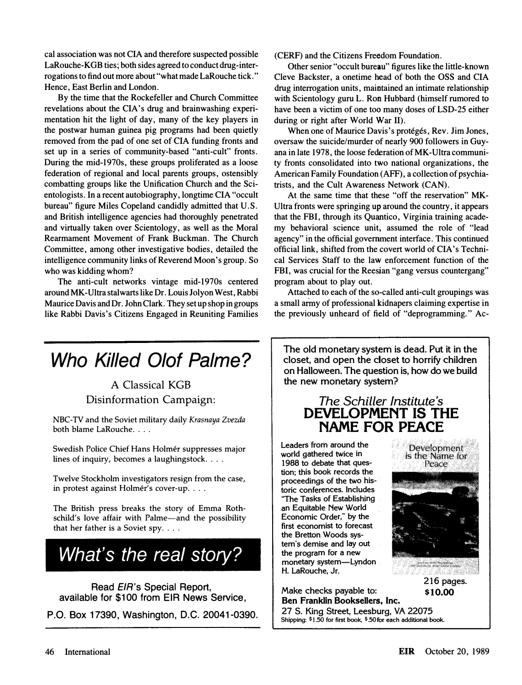cal association was not CIA and therefore suspected possible LaRouche-KGB ties; both sides agreed to conduct drug-interrogations to find out more about "what made LaRouche tick." Hence, East Berlin and London.

By the time that the Rockefeller and Church Committee revelations about the CIA's drug and brainwashing experimentation hit the light of day, many of the key players in the postwar human guinea pig programs had been quietly removed from the pad of one set of CIA funding fronts and set up in a series of community-based "anti-cult" fronts. During the mid-1970s, these groups proliferated as a loose federation of regional and local parents groups, ostensibly combatting groups like the Unification Church and the Scientologists. In a recent autobiography, longtime CIA "occult bureau" figure Miles Copeland candidly admitted that U.S. and British intelligence agencies had thoroughly penetrated and virtually taken over Scientology, as well as the Moral Rearmament Movement of Frank Buckman. The Church Committee, among other investigative bodies, detailed the intelligence community links of Reverend Moon's group. So who was kidding whom?

The anti-cult networks vintage mid-1970s centered around MK -Ultra stalwarts like Dr. Louis Jolyon West, Rabbi Maurice Davis and Dr. John Clark. They set up shop in groups like Rabbi Davis's Citizens Engaged in Reuniting Families (CERF) and the Citizens Freedom Foundation.

Other senior "occult bureau" figures like the little-known Cleve Backster, a onetime head of both the OSS and CIA drug interrogation units, maintained an intimate relationship with Scientology guru L. Ron Hubbard (himself rumored to have been a victim of one too many doses of LSD-25 either during or right after World War II).

When one of Maurice Davis's protégés, Rev. Jim Jones, oversaw the suicide/murder of nearly 900 followers in Guyana in late 1978, the loose federation of MK-Ultra community fronts consolidated into two national organizations, the American Family Foundation (AFF), a collection of psychiatrists, and the Cult Awareness Network (CAN).

At the same time that these "off the reservation" MK-Ultra fronts were springing up around the country, it appears that the FBI, through its Quantico, Virginia training academy behavioral science unit, assumed the role of "lead agency" in the official government interface. This continued official link, shifted from the covert world of CIA's Technical Services Staff to the law enforcement function of the FBI, was crucial for the Reesian "gang versus countergang" program about to play out.

Attached to each of the so-called anti-cult groupings was a small army of professional kidnapers claiming expertise in the previously unheard of field of "deprogramming." Ac-

# Who Killed Olof Palme?

# A Classical KGB Disinformation Campaign:

NBC-TV and the Soviet military daily Krasnaya Zvezda both blame LaRouche. . . .

Swedish Police Chief Hans Holmér suppresses major lines of inquiry, becomes a laughingstock ....

Twelve Stockholm investigators resign from the case, in protest against Holmér's cover-up. . . .

The British press breaks the story of Emma Rothschild's love affair with Palme-and the possibility that her father is a Soviet spy.  $\ldots$ 

What's the real story?

Read EIR's Special Report, available for \$100 from EIR News Service,

P.O. Box 17390, Washington, D.C. 20041-0390.

The old monetary system is dead. Put it in the closet, and open the closet to horrify children on Halloween. The question is, how do we build the new monetary system?

## The Schiller Institute's DEVELOPMENT IS THE NAME FOR PEACE

Leaders from around the world gathered twice in 1988 to debate that question; this book records the proceedings of the two his- . toric conferences. Includes "The Tasks of Establishing . an Equitable New World Economic Order," by the first economist to forecast the Bretton Woods system's demise and lay out the program for a new monetary system-Lyndon H. laRouche, Jr.

Make checks payable to:  $\qquad \qquad$  \$10.00 Ben Franklin Booksellers, Inc. 27 S. King Street, Leesburg, VA 22075

Shipping: \$1.50 for first book, \$.50 for each additional book.



216 pages.